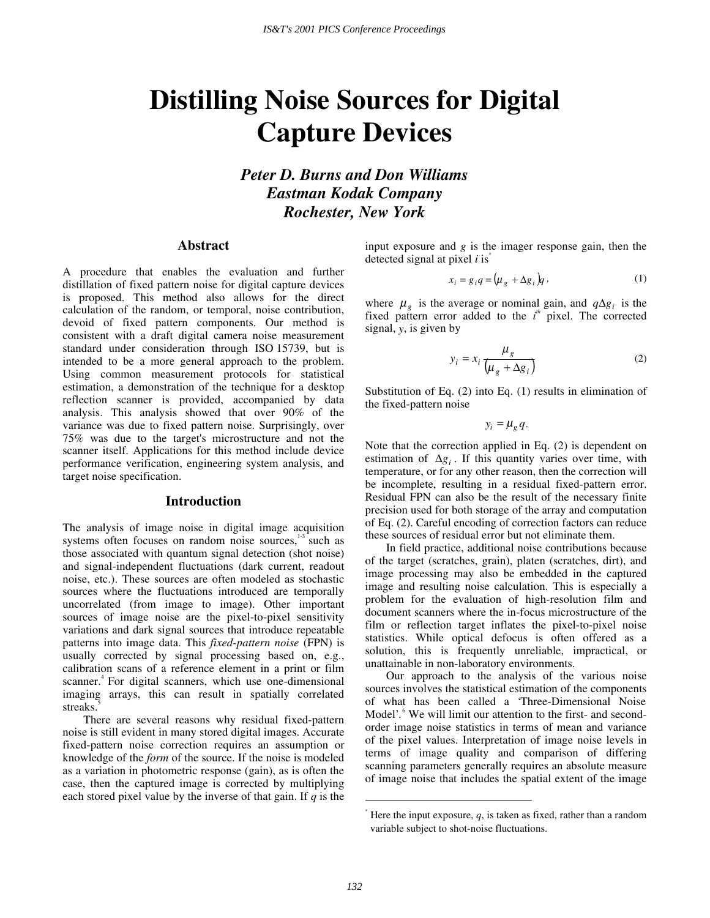# **Distilling Noise Sources for Digital Capture Devices**

*Peter D. Burns and Don Williams Eastman Kodak Company Rochester, New York* 

## **Abstract**

A procedure that enables the evaluation and further distillation of fixed pattern noise for digital capture devices is proposed. This method also allows for the direct calculation of the random, or temporal, noise contribution, devoid of fixed pattern components. Our method is consistent with a draft digital camera noise measurement standard under consideration through ISO 15739, but is intended to be a more general approach to the problem. Using common measurement protocols for statistical estimation, a demonstration of the technique for a desktop reflection scanner is provided, accompanied by data analysis. This analysis showed that over 90% of the variance was due to fixed pattern noise. Surprisingly, over 75% was due to the target's microstructure and not the scanner itself. Applications for this method include device performance verification, engineering system analysis, and target noise specification.

#### **Introduction**

The analysis of image noise in digital image acquisition systems often focuses on random noise sources, $1-3$  such as those associated with quantum signal detection (shot noise) and signal-independent fluctuations (dark current, readout noise, etc.). These sources are often modeled as stochastic sources where the fluctuations introduced are temporally uncorrelated (from image to image). Other important sources of image noise are the pixel-to-pixel sensitivity variations and dark signal sources that introduce repeatable patterns into image data. This *fixed-pattern noise* (FPN) is usually corrected by signal processing based on, e.g., calibration scans of a reference element in a print or film scanner.<sup>4</sup> For digital scanners, which use one-dimensional imaging arrays, this can result in spatially correlated streaks.

 There are several reasons why residual fixed-pattern noise is still evident in many stored digital images. Accurate fixed-pattern noise correction requires an assumption or knowledge of the *form* of the source. If the noise is modeled as a variation in photometric response (gain), as is often the case, then the captured image is corrected by multiplying each stored pixel value by the inverse of that gain. If *q* is the input exposure and *g* is the imager response gain, then the detected signal at pixel *i* is\*

$$
x_i = g_i q = (\mu_g + \Delta g_i) q \,, \tag{1}
$$

where  $\mu_g$  is the average or nominal gain, and  $q\Delta g_i$  is the fixed pattern error added to the *i*<sup>th</sup> pixel. The corrected signal, *y*, is given by

$$
y_i = x_i \frac{\mu_g}{\left(\mu_g + \Delta g_i\right)}\tag{2}
$$

Substitution of Eq. (2) into Eq. (1) results in elimination of the fixed-pattern noise

 $y_i = \mu_{\varrho} q$ .

Note that the correction applied in Eq. (2) is dependent on estimation of ∆*gi* . If this quantity varies over time, with temperature, or for any other reason, then the correction will be incomplete, resulting in a residual fixed-pattern error. Residual FPN can also be the result of the necessary finite precision used for both storage of the array and computation of Eq. (2). Careful encoding of correction factors can reduce these sources of residual error but not eliminate them.

 In field practice, additional noise contributions because of the target (scratches, grain), platen (scratches, dirt), and image processing may also be embedded in the captured image and resulting noise calculation. This is especially a problem for the evaluation of high-resolution film and document scanners where the in-focus microstructure of the film or reflection target inflates the pixel-to-pixel noise statistics. While optical defocus is often offered as a solution, this is frequently unreliable, impractical, or unattainable in non-laboratory environments.

 Our approach to the analysis of the various noise sources involves the statistical estimation of the components of what has been called a 'Three-Dimensional Noise Model'.<sup>6</sup> We will limit our attention to the first- and secondorder image noise statistics in terms of mean and variance of the pixel values. Interpretation of image noise levels in terms of image quality and comparison of differing scanning parameters generally requires an absolute measure of image noise that includes the spatial extent of the image

 $\overline{a}$ 

 $*$  Here the input exposure,  $q$ , is taken as fixed, rather than a random variable subject to shot-noise fluctuations.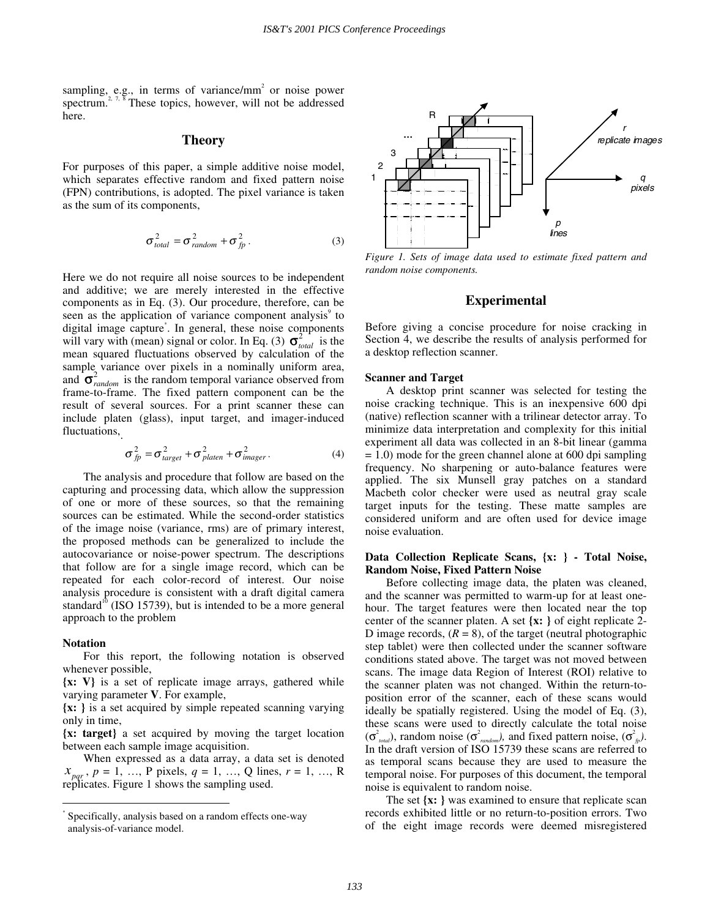sampling, e.g., in terms of variance/ $mm<sup>2</sup>$  or noise power spectrum.<sup>2, 7, 8</sup> These topics, however, will not be addressed here.

## **Theory**

For purposes of this paper, a simple additive noise model, which separates effective random and fixed pattern noise (FPN) contributions, is adopted. The pixel variance is taken as the sum of its components,

$$
\sigma_{total}^2 = \sigma_{random}^2 + \sigma_{fp}^2. \tag{3}
$$

Here we do not require all noise sources to be independent and additive; we are merely interested in the effective components as in Eq. (3). Our procedure, therefore, can be seen as the application of variance component analysis<sup>9</sup> to digital image capture\* . In general, these noise components will vary with (mean) signal or color. In Eq. (3)  $\sigma_{total}^2$  is the mean squared fluctuations observed by calculation of the sample variance over pixels in a nominally uniform area, and  $\sigma_{random}^2$  is the random temporal variance observed from frame-to-frame. The fixed pattern component can be the result of several sources. For a print scanner these can include platen (glass), input target, and imager-induced fluctuations,

$$
\sigma_{fp}^2 = \sigma_{target}^2 + \sigma_{platen}^2 + \sigma_{imager}^2.
$$
 (4)

 The analysis and procedure that follow are based on the capturing and processing data, which allow the suppression of one or more of these sources, so that the remaining sources can be estimated. While the second-order statistics of the image noise (variance, rms) are of primary interest, the proposed methods can be generalized to include the autocovariance or noise-power spectrum. The descriptions that follow are for a single image record, which can be repeated for each color-record of interest. Our noise analysis procedure is consistent with a draft digital camera standard $^{10}$  (ISO 15739), but is intended to be a more general approach to the problem

#### **Notation**

 $\overline{a}$ 

For this report, the following notation is observed whenever possible,

**{x: V}** is a set of replicate image arrays, gathered while varying parameter **V**. For example,

**{x: }** is a set acquired by simple repeated scanning varying only in time,

**{x: target}** a set acquired by moving the target location between each sample image acquisition.

When expressed as a data array, a data set is denoted  $x_{pqr}$ ,  $p = 1, \dots, P$  pixels,  $q = 1, \dots, Q$  lines,  $r = 1, \dots, R$ replicates. Figure 1 shows the sampling used.



*Figure 1. Sets of image data used to estimate fixed pattern and random noise components.* 

# **Experimental**

Before giving a concise procedure for noise cracking in Section 4, we describe the results of analysis performed for a desktop reflection scanner.

#### **Scanner and Target**

A desktop print scanner was selected for testing the noise cracking technique. This is an inexpensive 600 dpi (native) reflection scanner with a trilinear detector array. To minimize data interpretation and complexity for this initial experiment all data was collected in an 8-bit linear (gamma  $= 1.0$ ) mode for the green channel alone at 600 dpi sampling frequency. No sharpening or auto-balance features were applied. The six Munsell gray patches on a standard Macbeth color checker were used as neutral gray scale target inputs for the testing. These matte samples are considered uniform and are often used for device image noise evaluation.

## **Data Collection Replicate Scans, {x: } - Total Noise, Random Noise, Fixed Pattern Noise**

Before collecting image data, the platen was cleaned, and the scanner was permitted to warm-up for at least onehour. The target features were then located near the top center of the scanner platen. A set **{x: }** of eight replicate 2- D image records,  $(R = 8)$ , of the target (neutral photographic step tablet) were then collected under the scanner software conditions stated above. The target was not moved between scans. The image data Region of Interest (ROI) relative to the scanner platen was not changed. Within the return-toposition error of the scanner, each of these scans would ideally be spatially registered. Using the model of Eq. (3), these scans were used to directly calculate the total noise  $(\sigma^2_{\text{total}})$ , random noise  $(\sigma^2_{\text{random}})$ , and fixed pattern noise,  $(\sigma^2_{\text{fp}})$ . In the draft version of ISO 15739 these scans are referred to as temporal scans because they are used to measure the temporal noise. For purposes of this document, the temporal noise is equivalent to random noise.

 The set **{x: }** was examined to ensure that replicate scan records exhibited little or no return-to-position errors. Two of the eight image records were deemed misregistered

<sup>\*</sup> Specifically, analysis based on a random effects one-way analysis-of-variance model.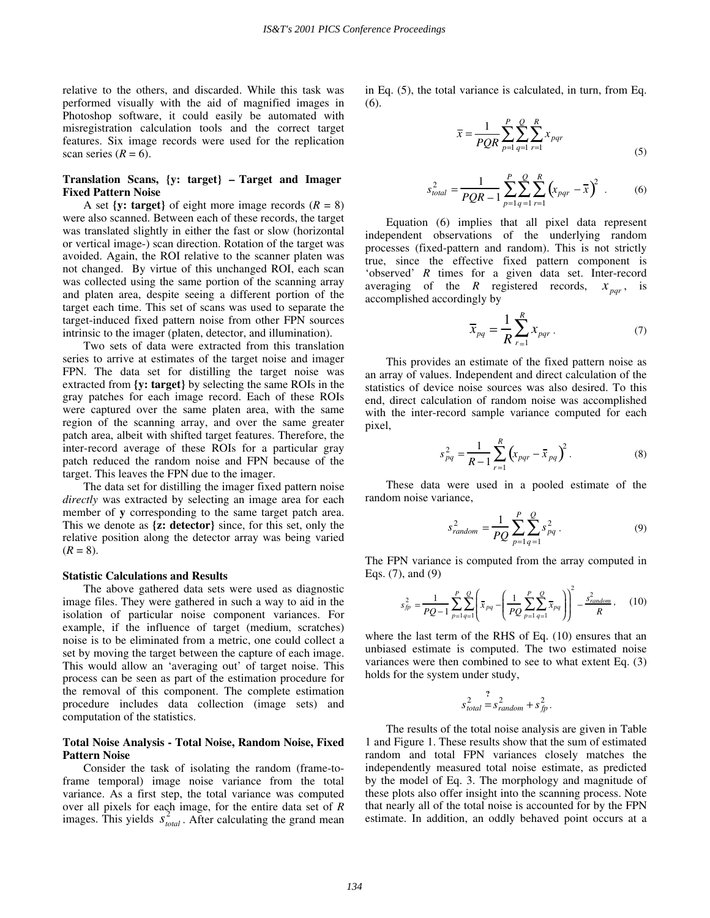relative to the others, and discarded. While this task was performed visually with the aid of magnified images in Photoshop software, it could easily be automated with misregistration calculation tools and the correct target features. Six image records were used for the replication scan series  $(R = 6)$ .

# **Translation Scans, {y: target} – Target and Imager Fixed Pattern Noise**

A set  $\{y: \text{target}\}\$  of eight more image records  $(R = 8)$ were also scanned. Between each of these records, the target was translated slightly in either the fast or slow (horizontal or vertical image-) scan direction. Rotation of the target was avoided. Again, the ROI relative to the scanner platen was not changed. By virtue of this unchanged ROI, each scan was collected using the same portion of the scanning array and platen area, despite seeing a different portion of the target each time. This set of scans was used to separate the target-induced fixed pattern noise from other FPN sources intrinsic to the imager (platen, detector, and illumination).

 Two sets of data were extracted from this translation series to arrive at estimates of the target noise and imager FPN. The data set for distilling the target noise was extracted from **{y: target}** by selecting the same ROIs in the gray patches for each image record. Each of these ROIs were captured over the same platen area, with the same region of the scanning array, and over the same greater patch area, albeit with shifted target features. Therefore, the inter-record average of these ROIs for a particular gray patch reduced the random noise and FPN because of the target. This leaves the FPN due to the imager.

 The data set for distilling the imager fixed pattern noise *directly* was extracted by selecting an image area for each member of **y** corresponding to the same target patch area. This we denote as **{z: detector}** since, for this set, only the relative position along the detector array was being varied  $(R = 8)$ .

## **Statistic Calculations and Results**

The above gathered data sets were used as diagnostic image files. They were gathered in such a way to aid in the isolation of particular noise component variances. For example, if the influence of target (medium, scratches) noise is to be eliminated from a metric, one could collect a set by moving the target between the capture of each image. This would allow an 'averaging out' of target noise. This process can be seen as part of the estimation procedure for the removal of this component. The complete estimation procedure includes data collection (image sets) and computation of the statistics.

#### **Total Noise Analysis - Total Noise, Random Noise, Fixed Pattern Noise**

Consider the task of isolating the random (frame-toframe temporal) image noise variance from the total variance. As a first step, the total variance was computed over all pixels for each image, for the entire data set of *R* images. This yields  $s_{total}^2$ . After calculating the grand mean in Eq. (5), the total variance is calculated, in turn, from Eq. (6).

$$
\bar{x} = \frac{1}{PQR} \sum_{p=1}^{P} \sum_{q=1}^{Q} \sum_{r=1}^{R} x_{pqr}
$$
\n(5)

$$
s_{total}^2 = \frac{1}{PQR - 1} \sum_{p=1}^{P} \sum_{q=1}^{Q} \sum_{r=1}^{R} (x_{pqr} - \overline{x})^2
$$
 (6)

Equation (6) implies that all pixel data represent independent observations of the underlying random processes (fixed-pattern and random). This is not strictly true, since the effective fixed pattern component is 'observed' *R* times for a given data set. Inter-record averaging of the *R* registered records,  $x_{\text{pqr}}$ , is accomplished accordingly by

$$
\overline{x}_{pq} = \frac{1}{R} \sum_{r=1}^{R} x_{pqr} . \tag{7}
$$

This provides an estimate of the fixed pattern noise as an array of values. Independent and direct calculation of the statistics of device noise sources was also desired. To this end, direct calculation of random noise was accomplished with the inter-record sample variance computed for each pixel,

$$
s_{pq}^2 = \frac{1}{R-1} \sum_{r=1}^{R} \left( x_{pqr} - \bar{x}_{pq} \right)^2.
$$
 (8)

These data were used in a pooled estimate of the random noise variance,

$$
s_{random}^2 = \frac{1}{PQ} \sum_{p=1}^{P} \sum_{q=1}^{Q} s_{pq}^2.
$$
 (9)

The FPN variance is computed from the array computed in Eqs. (7), and (9)

$$
s_{fp}^2 = \frac{1}{PQ - 1} \sum_{p=1}^{P} \sum_{q=1}^{Q} \left( \bar{x}_{pq} - \left( \frac{1}{PQ} \sum_{p=1}^{P} \sum_{q=1}^{Q} \bar{x}_{pq} \right) \right)^2 - \frac{s_{random}^2}{R}, \quad (10)
$$

where the last term of the RHS of Eq. (10) ensures that an unbiased estimate is computed. The two estimated noise variances were then combined to see to what extent Eq. (3) holds for the system under study,

$$
s_{total}^2 = s_{random}^2 + s_{fp}^2.
$$

The results of the total noise analysis are given in Table 1 and Figure 1. These results show that the sum of estimated random and total FPN variances closely matches the independently measured total noise estimate, as predicted by the model of Eq. 3. The morphology and magnitude of these plots also offer insight into the scanning process. Note that nearly all of the total noise is accounted for by the FPN estimate. In addition, an oddly behaved point occurs at a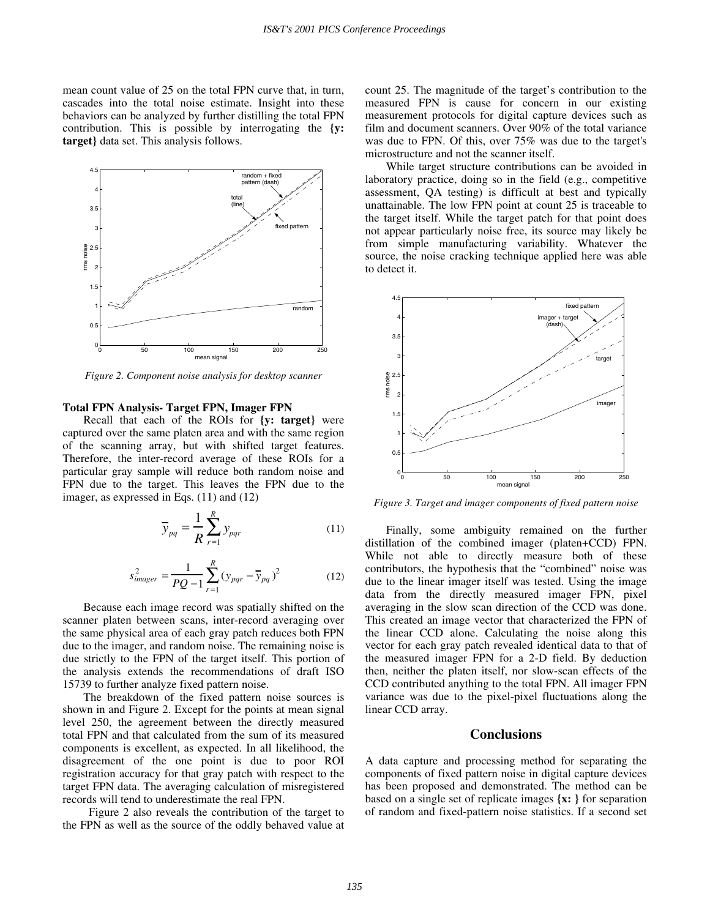mean count value of 25 on the total FPN curve that, in turn, cascades into the total noise estimate. Insight into these behaviors can be analyzed by further distilling the total FPN contribution. This is possible by interrogating the **{y: target}** data set. This analysis follows.



*Figure 2. Component noise analysis for desktop scanner* 

## **Total FPN Analysis- Target FPN, Imager FPN**

Recall that each of the ROIs for **{y: target}** were captured over the same platen area and with the same region of the scanning array, but with shifted target features. Therefore, the inter-record average of these ROIs for a particular gray sample will reduce both random noise and FPN due to the target. This leaves the FPN due to the imager, as expressed in Eqs. (11) and (12)

$$
\overline{y}_{pq} = \frac{1}{R} \sum_{r=1}^{R} y_{pqr}
$$
 (11)

$$
s_{imager}^2 = \frac{1}{PQ - 1} \sum_{r=1}^{R} (y_{pqr} - \overline{y}_{pq})^2
$$
 (12)

Because each image record was spatially shifted on the scanner platen between scans, inter-record averaging over the same physical area of each gray patch reduces both FPN due to the imager, and random noise. The remaining noise is due strictly to the FPN of the target itself. This portion of the analysis extends the recommendations of draft ISO 15739 to further analyze fixed pattern noise.

 The breakdown of the fixed pattern noise sources is shown in and Figure 2. Except for the points at mean signal level 250, the agreement between the directly measured total FPN and that calculated from the sum of its measured components is excellent, as expected. In all likelihood, the disagreement of the one point is due to poor ROI registration accuracy for that gray patch with respect to the target FPN data. The averaging calculation of misregistered records will tend to underestimate the real FPN.

Figure 2 also reveals the contribution of the target to the FPN as well as the source of the oddly behaved value at count 25. The magnitude of the target's contribution to the measured FPN is cause for concern in our existing measurement protocols for digital capture devices such as film and document scanners. Over 90% of the total variance was due to FPN. Of this, over 75% was due to the target's microstructure and not the scanner itself.

 While target structure contributions can be avoided in laboratory practice, doing so in the field (e.g., competitive assessment, QA testing) is difficult at best and typically unattainable. The low FPN point at count 25 is traceable to the target itself. While the target patch for that point does not appear particularly noise free, its source may likely be from simple manufacturing variability. Whatever the source, the noise cracking technique applied here was able to detect it.



*Figure 3. Target and imager components of fixed pattern noise* 

Finally, some ambiguity remained on the further distillation of the combined imager (platen+CCD) FPN. While not able to directly measure both of these contributors, the hypothesis that the "combined" noise was due to the linear imager itself was tested. Using the image data from the directly measured imager FPN, pixel averaging in the slow scan direction of the CCD was done. This created an image vector that characterized the FPN of the linear CCD alone. Calculating the noise along this vector for each gray patch revealed identical data to that of the measured imager FPN for a 2-D field. By deduction then, neither the platen itself, nor slow-scan effects of the CCD contributed anything to the total FPN. All imager FPN variance was due to the pixel-pixel fluctuations along the linear CCD array.

#### **Conclusions**

A data capture and processing method for separating the components of fixed pattern noise in digital capture devices has been proposed and demonstrated. The method can be based on a single set of replicate images **{x: }** for separation of random and fixed-pattern noise statistics. If a second set